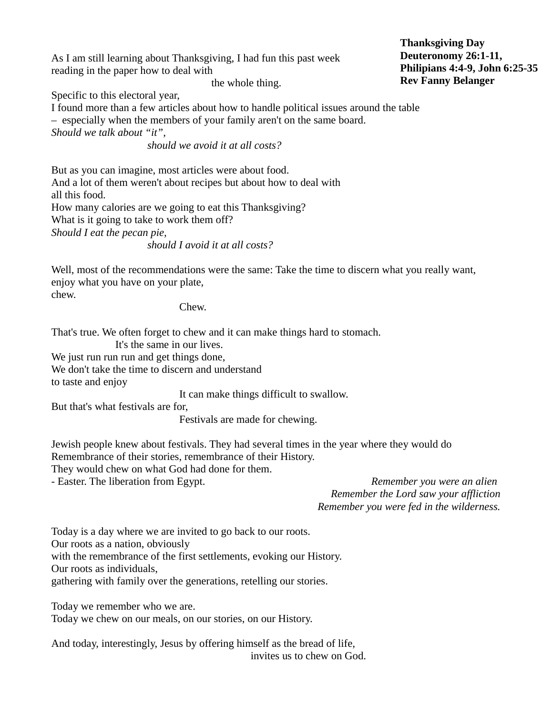As I am still learning about Thanksgiving, I had fun this past week reading in the paper how to deal with

the whole thing.

Specific to this electoral year,

I found more than a few articles about how to handle political issues around the table

– especially when the members of your family aren't on the same board.

*Should we talk about "it",* 

*should we avoid it at all costs?*

But as you can imagine, most articles were about food. And a lot of them weren't about recipes but about how to deal with all this food. How many calories are we going to eat this Thanksgiving? What is it going to take to work them off? *Should I eat the pecan pie,* 

*should I avoid it at all costs?* 

Well, most of the recommendations were the same: Take the time to discern what you really want, enjoy what you have on your plate, chew.

Chew.

That's true. We often forget to chew and it can make things hard to stomach.

It's the same in our lives. We just run run run and get things done,

We don't take the time to discern and understand

to taste and enjoy

It can make things difficult to swallow.

But that's what festivals are for,

Festivals are made for chewing.

Jewish people knew about festivals. They had several times in the year where they would do Remembrance of their stories, remembrance of their History.

They would chew on what God had done for them.

- Easter. The liberation from Egypt. *Remember you were an alien Remember the Lord saw your affliction Remember you were fed in the wilderness.*

Today is a day where we are invited to go back to our roots. Our roots as a nation, obviously with the remembrance of the first settlements, evoking our History. Our roots as individuals, gathering with family over the generations, retelling our stories.

Today we remember who we are.

Today we chew on our meals, on our stories, on our History.

And today, interestingly, Jesus by offering himself as the bread of life, invites us to chew on God. **Thanksgiving Day Deuteronomy 26:1-11, Philipians 4:4-9, John 6:25-35 Rev Fanny Belanger**